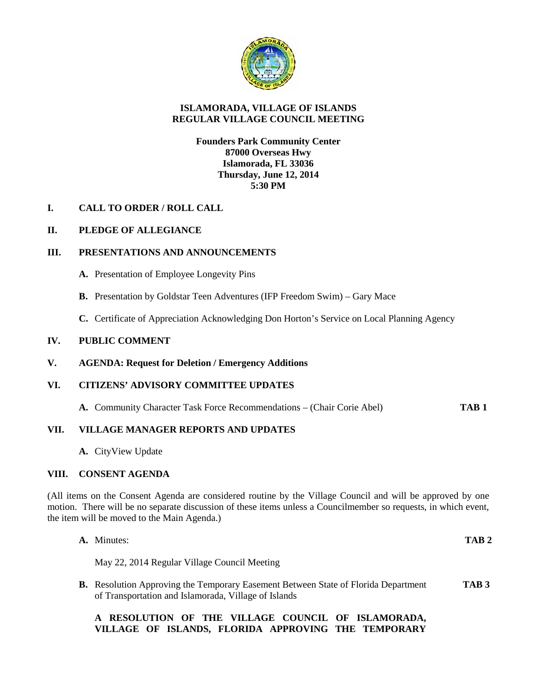

# **ISLAMORADA, VILLAGE OF ISLANDS REGULAR VILLAGE COUNCIL MEETING**

## **Founders Park Community Center 87000 Overseas Hwy Islamorada, FL 33036 Thursday, June 12, 2014 5:30 PM**

# **I. CALL TO ORDER / ROLL CALL**

## **II. PLEDGE OF ALLEGIANCE**

## **III. PRESENTATIONS AND ANNOUNCEMENTS**

- **A.** Presentation of Employee Longevity Pins
- **B.** Presentation by Goldstar Teen Adventures (IFP Freedom Swim) Gary Mace
- **C.** Certificate of Appreciation Acknowledging Don Horton's Service on Local Planning Agency

### **IV. PUBLIC COMMENT**

**V. AGENDA: Request for Deletion / Emergency Additions**

## **VI. CITIZENS' ADVISORY COMMITTEE UPDATES**

**A.** Community Character Task Force Recommendations – (Chair Corie Abel) **TAB 1**

## **VII. VILLAGE MANAGER REPORTS AND UPDATES**

**A.** CityView Update

## **VIII. CONSENT AGENDA**

(All items on the Consent Agenda are considered routine by the Village Council and will be approved by one motion. There will be no separate discussion of these items unless a Councilmember so requests, in which event, the item will be moved to the Main Agenda.)

| <b>A.</b> Minutes:                           | TAB <sub>2</sub> |
|----------------------------------------------|------------------|
| May 22, 2014 Regular Village Council Meeting |                  |

**B.** Resolution Approving the Temporary Easement Between State of Florida Department **TAB 3** of Transportation and Islamorada, Village of Islands

## **A RESOLUTION OF THE VILLAGE COUNCIL OF ISLAMORADA, VILLAGE OF ISLANDS, FLORIDA APPROVING THE TEMPORARY**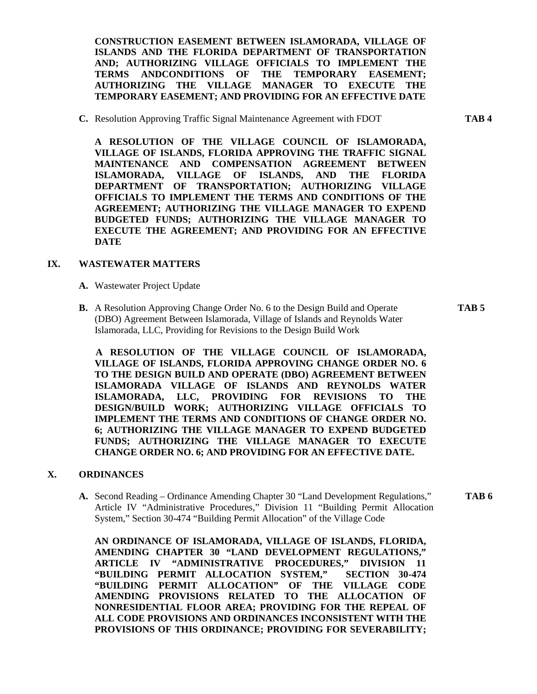**CONSTRUCTION EASEMENT BETWEEN ISLAMORADA, VILLAGE OF ISLANDS AND THE FLORIDA DEPARTMENT OF TRANSPORTATION AND; AUTHORIZING VILLAGE OFFICIALS TO IMPLEMENT THE TERMS ANDCONDITIONS OF THE TEMPORARY EASEMENT; AUTHORIZING THE VILLAGE MANAGER TO EXECUTE THE TEMPORARY EASEMENT; AND PROVIDING FOR AN EFFECTIVE DATE**

**C.** Resolution Approving Traffic Signal Maintenance Agreement with FDOT **TAB 4**

**A RESOLUTION OF THE VILLAGE COUNCIL OF ISLAMORADA, VILLAGE OF ISLANDS, FLORIDA APPROVING THE TRAFFIC SIGNAL MAINTENANCE AND COMPENSATION AGREEMENT BETWEEN ISLAMORADA, VILLAGE OF ISLANDS, AND THE FLORIDA DEPARTMENT OF TRANSPORTATION; AUTHORIZING VILLAGE OFFICIALS TO IMPLEMENT THE TERMS AND CONDITIONS OF THE AGREEMENT; AUTHORIZING THE VILLAGE MANAGER TO EXPEND BUDGETED FUNDS; AUTHORIZING THE VILLAGE MANAGER TO EXECUTE THE AGREEMENT; AND PROVIDING FOR AN EFFECTIVE DATE**

### **IX. WASTEWATER MATTERS**

**A.** Wastewater Project Update

**B.** A Resolution Approving Change Order No. 6 to the Design Build and Operate **TAB 5** (DBO) Agreement Between Islamorada, Village of Islands and Reynolds Water Islamorada, LLC, Providing for Revisions to the Design Build Work

**A RESOLUTION OF THE VILLAGE COUNCIL OF ISLAMORADA, VILLAGE OF ISLANDS, FLORIDA APPROVING CHANGE ORDER NO. 6 TO THE DESIGN BUILD AND OPERATE (DBO) AGREEMENT BETWEEN ISLAMORADA VILLAGE OF ISLANDS AND REYNOLDS WATER ISLAMORADA, LLC, PROVIDING FOR REVISIONS TO THE DESIGN/BUILD WORK; AUTHORIZING VILLAGE OFFICIALS TO IMPLEMENT THE TERMS AND CONDITIONS OF CHANGE ORDER NO. 6; AUTHORIZING THE VILLAGE MANAGER TO EXPEND BUDGETED FUNDS; AUTHORIZING THE VILLAGE MANAGER TO EXECUTE CHANGE ORDER NO. 6; AND PROVIDING FOR AN EFFECTIVE DATE.**

#### **X. ORDINANCES**

**A.** Second Reading – Ordinance Amending Chapter 30 "Land Development Regulations," **TAB 6** Article IV "Administrative Procedures," Division 11 "Building Permit Allocation System," Section 30-474 "Building Permit Allocation" of the Village Code

**AN ORDINANCE OF ISLAMORADA, VILLAGE OF ISLANDS, FLORIDA, AMENDING CHAPTER 30 "LAND DEVELOPMENT REGULATIONS," ARTICLE IV "ADMINISTRATIVE PROCEDURES," DIVISION 11 "BUILDING PERMIT ALLOCATION SYSTEM," SECTION 30-474 "BUILDING PERMIT ALLOCATION" OF THE VILLAGE CODE AMENDING PROVISIONS RELATED TO THE ALLOCATION OF NONRESIDENTIAL FLOOR AREA; PROVIDING FOR THE REPEAL OF ALL CODE PROVISIONS AND ORDINANCES INCONSISTENT WITH THE PROVISIONS OF THIS ORDINANCE; PROVIDING FOR SEVERABILITY;**